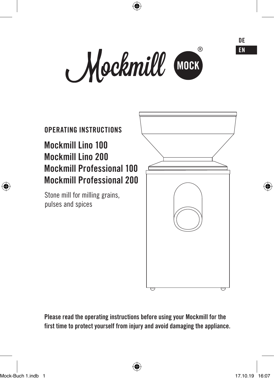Mockmill MOCK

4



**Please read the operating instructions before using your Mockmill for the first time to protect yourself from injury and avoid damaging the appliance.**

Mock-Buch 1.indb 1 17.10.19 16:07

€

♠

**DE EN**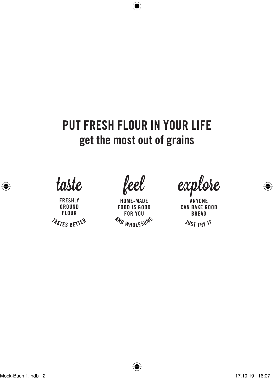# **PUT FRESH FLOUR IN YOUR LIFE get the most out of grains**

♦

taste

**<sup>T</sup>ASTE<sup>S</sup> <sup>B</sup>ETTE<sup>R</sup> FRESHLY GROUND FLOUR** 

feel

**<sup>A</sup>N<sup>D</sup> <sup>W</sup>HOLESOM<sup>E</sup> HOME-MADE FOOD IS GOOD FOR YOU** 

explore

 $\frac{N}{2}$ **ANYONE CAN BAKE GOOD BREAD**

€

♠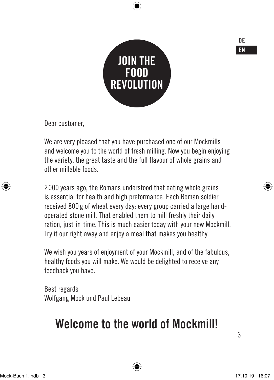

Dear customer,

We are very pleased that you have purchased one of our Mockmills and welcome you to the world of fresh milling. Now you begin enjoying the variety, the great taste and the full flavour of whole grains and other millable foods.

2000 years ago, the Romans understood that eating whole grains is essential for health and high preformance. Each Roman soldier received 800 g of wheat every day; every group carried a large handoperated stone mill. That enabled them to mill freshly their daily ration, just-in-time. This is much easier today with your new Mockmill. Try it our right away and enjoy a meal that makes you healthy.

We wish you years of enjoyment of your Mockmill, and of the fabulous, healthy foods you will make. We would be delighted to receive any feedback you have.

Best regards Wolfgang Mock und Paul Lebeau

# **Welcome to the world of Mockmill!**

3

**DE EN**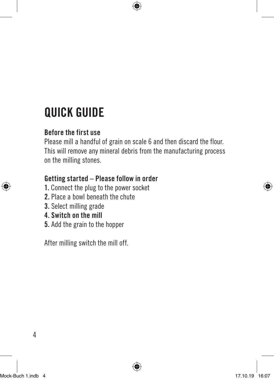# **QUICK GUIDE**

# **Before the first use**

Please mill a handful of grain on scale 6 and then discard the flour. This will remove any mineral debris from the manufacturing process on the milling stones.

# **Getting started – Please follow in order**

- **1.** Connect the plug to the power socket
- **2.** Place a bowl beneath the chute
- **3.** Select milling grade
- **4. Switch on the mill**
- **5.** Add the grain to the hopper

After milling switch the mill off.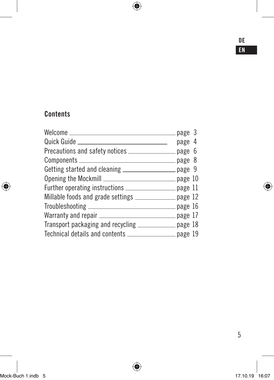### **DE EN**

# **Contents**

I

 $\bigoplus$ 

| Welcome ________________<br>page 3                                |  |
|-------------------------------------------------------------------|--|
| Quick Guide _______<br>page 4                                     |  |
| Precautions and safety notices _________________ page 6           |  |
|                                                                   |  |
| Getting started and cleaning __________________ page 9            |  |
| Opening the Mockmill <b>__________________________</b> __ page 10 |  |
| Further operating instructions ___________________ page 11        |  |
| Millable foods and grade settings _______________ page 12         |  |
|                                                                   |  |
|                                                                   |  |
| Transport packaging and recycling _____________ page 18           |  |
| Technical details and contents _________________ page 19          |  |
|                                                                   |  |

 $\bigoplus$ 

 $\bigoplus$ 

5

 $\bigoplus$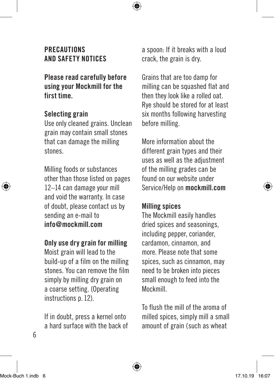# **PRECAUTIONS AND SAFETY NOTICES**

**Please read carefully before using your Mockmill for the first time.**

#### **Selecting grain**

Use only cleaned grains. Unclean grain may contain small stones that can damage the milling stones.

Milling foods or substances other than those listed on pages 12–14 can damage your mill and void the warranty. In case of doubt, please contact us by sending an e-mail to **info@mockmill.com**

#### **Only use dry grain for milling**

Moist grain will lead to the build-up of a film on the milling stones. You can remove the film simply by milling dry grain on a coarse setting. (Operating instructions p. 12).

If in doubt, press a kernel onto a hard surface with the back of a spoon: If it breaks with a loud crack, the grain is dry.

Grains that are too damp for milling can be squashed flat and then they look like a rolled oat. Rye should be stored for at least six months following harvesting before milling.

More information about the different grain types and their uses as well as the adjustment of the milling grades can be found on our website under Service/Help on **mockmill.com**

#### **Milling spices**

The Mockmill easily handles dried spices and seasonings, including pepper, coriander, cardamon, cinnamon, and more. Please note that some spices, such as cinnamon, may need to be broken into pieces small enough to feed into the Mockmill.

To flush the mill of the aroma of milled spices, simply mill a small amount of grain (such as wheat

6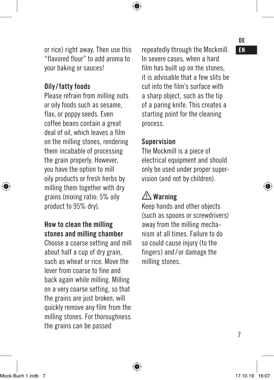or rice) right away. Then use this **Franking through the Mockmill.** EN "flavored flour" to add aroma to your baking or sauces!

#### **Oily/fatty foods**

Please refrain from milling nuts or oily foods such as sesame, flax, or poppy seeds. Even coffee beans contain a great deal of oil, which leaves a film on the milling stones, rendering them incabable of processing the grain properly. However, you have the option to mill oily products or fresh herbs by milling them together with dry grains (mixing ratio: 5% oily product to 95% dry).

# **How to clean the milling stones and milling chamber**

Choose a coarse setting and mill about half a cup of dry grain, such as wheat or rice. Move the lever from coarse to fine and back again while milling. Milling on a very coarse setting, so that the grains are just broken, will quickly remove any film from the milling stones. For thoroughness the grains can be passed

In severe cases, when a hard film has built up on the stones, it is advisable that a few slits be cut into the film's surface with a sharp object, such as the tip of a paring knife. This creates a starting point for the cleaning process.

#### **Supervision**

The Mockmill is a piece of electrical equipment and should only be used under proper supervision (and not by children).

# **Warning**

Keep hands and other objects (such as spoons or screwdrivers) away from the milling mechanism at all times. Failure to do so could cause injury (to the fingers) and /or damage the milling stones.

# **DE**

7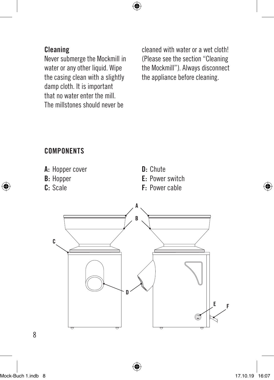

# **Cleaning**

Never submerge the Mockmill in water or any other liquid. Wipe the casing clean with a slightly damp cloth. It is important that no water enter the mill. The millstones should never be

cleaned with water or a wet cloth! (Please see the section "Cleaning the Mockmill"). Always disconnect the appliance before cleaning.

### **COMPONENTS**





8

€

◈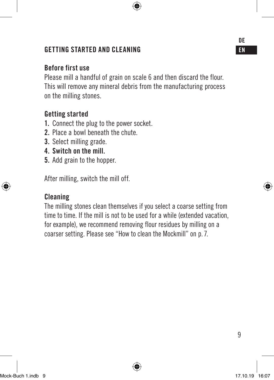# **GETTING STARTED AND CLEANING EN**

#### **Before first use**

Please mill a handful of grain on scale 6 and then discard the flour. This will remove any mineral debris from the manufacturing process on the milling stones.

#### **Getting started**

- **1.** Connect the plug to the power socket.
- **2.** Place a bowl beneath the chute.
- **3.** Select milling grade.
- **4. Switch on the mill.**
- **5.** Add grain to the hopper.

After milling, switch the mill off.

#### **Cleaning**

The milling stones clean themselves if you select a coarse setting from time to time. If the mill is not to be used for a while (extended vacation, for example), we recommend removing flour residues by milling on a coarser setting. Please see "How to clean the Mockmill" on p. 7.

**DE**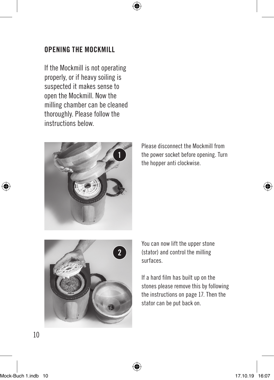#### **OPENING THE MOCKMILL**

If the Mockmill is not operating properly, or if heavy soiling is suspected it makes sense to open the Mockmill. Now the milling chamber can be cleaned thoroughly. Please follow the instructions below.



Please disconnect the Mockmill from the power socket before opening. Turn the hopper anti clockwise.



You can now lift the upper stone (stator) and control the milling surfaces.

If a hard film has built up on the stones please remove this by following the instructions on page 17. Then the stator can be put back on.

10

₩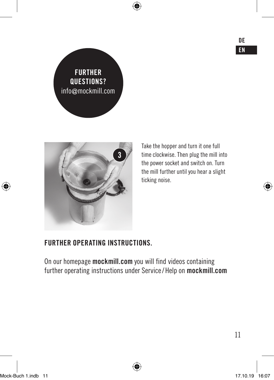**DE EN**





Take the hopper and turn it one full time clockwise. Then plug the mill into the power socket and switch on. Turn the mill further until you hear a slight ticking noise.

### **FURTHER OPERATING INSTRUCTIONS.**

On our homepage **mockmill.com** you will find videos containing further operating instructions under Service/Help on **mockmill.com** ⊕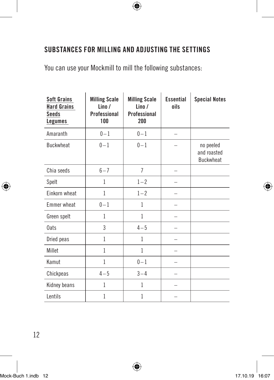# ♦

# **SUBSTANCES FOR MILLING AND ADJUSTING THE SETTINGS**

You can use your Mockmill to mill the following substances:

| <b>Soft Grains</b><br><b>Hard Grains</b><br><b>Seeds</b><br>Legumes | <b>Milling Scale</b><br>$l$ ino /<br>Professional<br>100 | <b>Milling Scale</b><br>$l$ ino $l$<br>Professional<br>200 | <b>Fssential</b><br>oils | <b>Special Notes</b>                         |
|---------------------------------------------------------------------|----------------------------------------------------------|------------------------------------------------------------|--------------------------|----------------------------------------------|
| Amaranth                                                            | $0 - 1$                                                  | $0 - 1$                                                    |                          |                                              |
| <b>Buckwheat</b>                                                    | $0 - 1$                                                  | $0 - 1$                                                    |                          | no peeled<br>and roasted<br><b>Buckwheat</b> |
| Chia seeds                                                          | $6 - 7$                                                  | $\overline{7}$                                             |                          |                                              |
| Spelt                                                               | 1                                                        | $1 - 2$                                                    |                          |                                              |
| Einkorn wheat                                                       | 1                                                        | $1 - 2$                                                    |                          |                                              |
| <b>Emmer</b> wheat                                                  | $0 - 1$                                                  | 1                                                          |                          |                                              |
| Green spelt                                                         | 1                                                        | 1                                                          |                          |                                              |
| 0ats                                                                | 3                                                        | $4 - 5$                                                    |                          |                                              |
| Dried peas                                                          | 1                                                        | 1                                                          |                          |                                              |
| Millet                                                              | 1                                                        | 1                                                          |                          |                                              |
| Kamut                                                               | 1                                                        | $0 - 1$                                                    |                          |                                              |
| Chickpeas                                                           | $4 - 5$                                                  | $3 - 4$                                                    |                          |                                              |
| Kidney beans                                                        | 1                                                        | 1                                                          |                          |                                              |
| Lentils                                                             | $\mathbf{1}$                                             | $\mathbf{1}$                                               |                          |                                              |

Mock-Buch 1.indb 12 17.10.19 16:07

€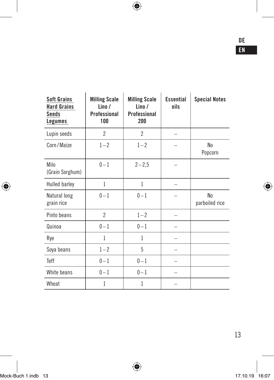$\bigoplus$ 

| <b>Soft Grains</b><br><b>Hard Grains</b><br>Seeds<br>Legumes | <b>Milling Scale</b><br>Lino /<br>Professional<br>100 | <b>Milling Scale</b><br>Lino/<br>Professional<br>200 | <b>Essential</b><br>oils | <b>Special Notes</b>      |
|--------------------------------------------------------------|-------------------------------------------------------|------------------------------------------------------|--------------------------|---------------------------|
| Lupin seeds                                                  | $\mathfrak{p}$                                        | $\overline{2}$                                       |                          |                           |
| Corn/Maize                                                   | $1 - 2$                                               | $1 - 2$                                              |                          | N <sub>0</sub><br>Popcorn |
| Milo<br>(Grain Sorghum)                                      | $0 - 1$                                               | $2 - 2,5$                                            |                          |                           |
| Hulled barley                                                | 1                                                     | 1                                                    |                          |                           |
| Natural long<br>grain rice                                   | $0 - 1$                                               | $0 - 1$                                              |                          | No<br>parboiled rice      |
| Pinto beans                                                  | $\overline{2}$                                        | $1 - 2$                                              |                          |                           |
| Quinoa                                                       | $0 - 1$                                               | $0 - 1$                                              |                          |                           |
| Rye                                                          | 1                                                     | 1                                                    |                          |                           |
| Soya beans                                                   | $1 - 2$                                               | 5                                                    |                          |                           |
| Teff                                                         | $0 - 1$                                               | $0 - 1$                                              |                          |                           |
| White beans                                                  | $0 - 1$                                               | $0 - 1$                                              |                          |                           |
| Wheat                                                        | 1                                                     | 1                                                    |                          |                           |

I

 $\bigoplus$ 

 $\bigoplus$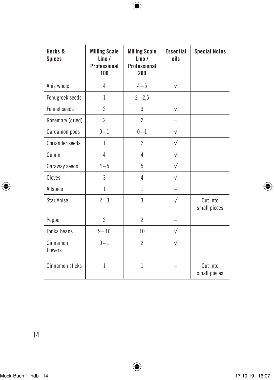$\bigoplus$ 

| Herbs &<br><b>Spices</b> | <b>Milling Scale</b><br>$l$ ino $l$<br>Professional<br>100 | <b>Milling Scale</b><br>$l$ ino /<br>Professional<br>200 | <b>Fssential</b><br>oils | <b>Special Notes</b>     |
|--------------------------|------------------------------------------------------------|----------------------------------------------------------|--------------------------|--------------------------|
| Anis whole               | 4                                                          | $4 - 5$                                                  | $\sqrt{}$                |                          |
| Fenugreek seeds          | 1                                                          | $2 - 2,5$                                                |                          |                          |
| Fennel seeds             | $\overline{2}$                                             | 3                                                        | $\sqrt{}$                |                          |
| Rosemary (dried)         | $\overline{2}$                                             | $\overline{2}$                                           |                          |                          |
| Cardamon pods            | $0 - 1$                                                    | $0 - 1$                                                  | $\sqrt{ }$               |                          |
| Coriander seeds          | 1                                                          | $\overline{2}$                                           | $\sqrt{}$                |                          |
| Cumin                    | 4                                                          | 4                                                        | $\sqrt{ }$               |                          |
| Caraway seeds            | $4 - 5$                                                    | 5                                                        | $\sqrt{}$                |                          |
| Cloves                   | 3                                                          | 4                                                        | $\sqrt{ }$               |                          |
| Allspice                 | $\mathbf{1}$                                               | 1                                                        |                          |                          |
| <b>Star Anise</b>        | $2 - 3$                                                    | 3                                                        | $\sqrt{}$                | Cut into<br>small pieces |
| Pepper                   | $\overline{2}$                                             | $\mathfrak{p}$                                           |                          |                          |
| Tonka beans              | $9 - 10$                                                   | 10                                                       | $\sqrt{}$                |                          |
| Cinnamon<br>flowers      | $0 - 1$                                                    | $\overline{2}$                                           | $\sqrt{}$                |                          |
| Cinnamon sticks          | $\mathbf{1}$                                               | $\mathbf{1}$                                             |                          | Cut into<br>small pieces |

14

I

 $\bigoplus$ 

 $\bigoplus$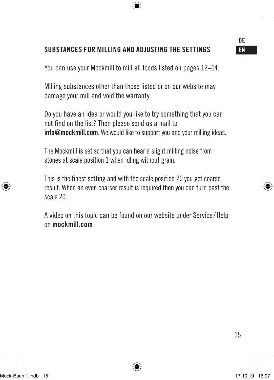#### **SUBSTANCES FOR MILLING AND ADJUSTING THE SETTINGS EN**

You can use your Mockmill to mill all foods listed on pages 12–14.

Milling substances other than those listed or on our website may damage your mill and void the warranty.

Do you have an idea or would you like to try something that you can not find on the list? Then please send us a mail to **info@mockmill.com.** We would like to support you and your milling ideas.

The Mockmill is set so that you can hear a slight milling noise from stones at scale position 1 when idling without grain.

This is the finest setting and with the scale position 20 you get coarse result. When an even coarser result is required then you can turn past the scale 20.

A video on this topic can be found on our website under Service/Help on **mockmill.com**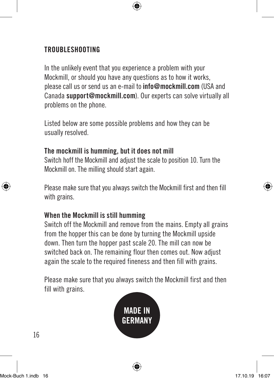### **TROUBLESHOOTING**

In the unlikely event that you experience a problem with your Mockmill, or should you have any questions as to how it works, please call us or send us an e-mail to **info@mockmill.com** (USA and Canada **support@mockmill.com**). Our experts can solve virtually all problems on the phone.

Listed below are some possible problems and how they can be usually resolved.

#### **The mockmill is humming, but it does not mill**

Switch hoff the Mockmill and adjust the scale to position 10. Turn the Mockmill on. The milling should start again.

Please make sure that you always switch the Mockmill first and then fill with grains.

#### **When the Mockmill is still humming**

Switch off the Mockmill and remove from the mains. Empty all grains from the hopper this can be done by turning the Mockmill upside down. Then turn the hopper past scale 20. The mill can now be switched back on. The remaining flour then comes out. Now adjust again the scale to the required fineness and then fill with grains.

Please make sure that you always switch the Mockmill first and then fill with grains.

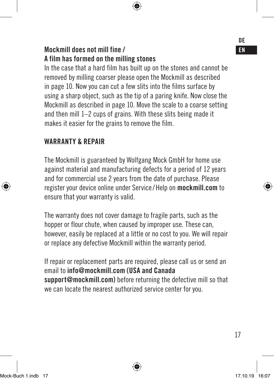# **Mockmill does not mill fine / ENR CONSTRAINING TO ENR CONSTRAINING TO ENR CONSTRAINING TO ENR CONSTRAINING TO EN A film has formed on the milling stones**

In the case that a hard film has built up on the stones and cannot be removed by milling coarser please open the Mockmill as described in page 10. Now you can cut a few slits into the films surface by using a sharp object, such as the tip of a paring knife. Now close the Mockmill as described in page 10. Move the scale to a coarse setting and then mill 1–2 cups of grains. With these slits being made it makes it easier for the grains to remove the film.

### **WARRANTY & REPAIR**

The Mockmill is guaranteed by Wolfgang Mock GmbH for home use against material and manufacturing defects for a period of 12 years and for commercial use 2 years from the date of purchase. Please register your device online under Service/ Help on **mockmill.com** to ensure that your warranty is valid.

The warranty does not cover damage to fragile parts, such as the hopper or flour chute, when caused by improper use. These can, however, easily be replaced at a little or no cost to you. We will repair or replace any defective Mockmill within the warranty period.

If repair or replacement parts are required, please call us or send an email to **info@mockmill.com (USA and Canada support@mockmill.com)** before returning the defective mill so that we can locate the nearest authorized service center for you.

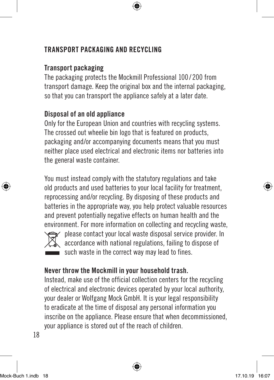## **TRANSPORT PACKAGING AND RECYCLING**

# **Transport packaging**

The packaging protects the Mockmill Professional 100 / 200 from transport damage. Keep the original box and the internal packaging, so that you can transport the appliance safely at a later date.

# **Disposal of an old appliance**

Only for the European Union and countries with recycling systems. The crossed out wheelie bin logo that is featured on products, packaging and/or accompanying documents means that you must neither place used electrical and electronic items nor batteries into the general waste container.

You must instead comply with the statutory regulations and take old products and used batteries to your local facility for treatment, reprocessing and/or recycling. By disposing of these products and batteries in the appropriate way, you help protect valuable resources and prevent potentially negative effects on human health and the environment. For more information on collecting and recycling waste,



please contact your local waste disposal service provider. In accordance with national regulations, failing to dispose of such waste in the correct way may lead to fines.

### **Never throw the Mockmill in your household trash.**

Instead, make use of the official collection centers for the recycling of electrical and electronic devices operated by your local authority, your dealer or Wolfgang Mock GmbH. It is your legal responsibility to eradicate at the time of disposal any personal information you inscribe on the appliance. Please ensure that when decommissioned, your appliance is stored out of the reach of children.

18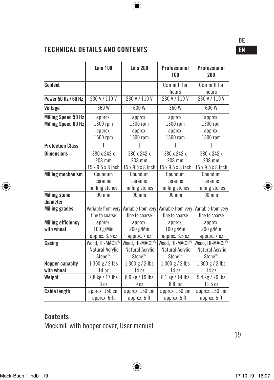# **TECHNICAL DETAILS AND CONTENTS**

|                                  | <b>Lino 100</b>    | <b>Lino 200</b>    | Professional<br>100 | Professional<br>200 |
|----------------------------------|--------------------|--------------------|---------------------|---------------------|
| Content                          |                    |                    | Can mill for        | Can mill for        |
|                                  |                    |                    | hours               | hours               |
| Power 50 Hz / 60 Hz              | 230 V / 110 V      | 230 V / 110 V      | 230 V / 110 V       | 230 V / 110 V       |
| Voltage                          | 360 W              | 600W               | 360 W               | 600W                |
| <b>Milling Speed 50 Hz</b>       | approx.            | approx.            | approx.             | approx.             |
| <b>Milling Speed 60 Hz</b>       | 1300 rpm           | 1300 rpm           | 1300 rpm            | 1300 rpm            |
|                                  | approx.            | approx.            | approx.             | approx.             |
|                                  | 1500 rpm           | 1500 rpm           | 1500 rpm            | 1500 rpm            |
| <b>Protection Class</b>          | 1                  | 1                  | 1                   | 1                   |
| <b>Dimensions</b>                | 380 x 242 x        | 380 x 242 x        | 380 x 242 x         | 380 x 242 x         |
|                                  | 208 mm             | 208 mm             | 208 mm              | 208 mm              |
|                                  | 15 x 9.5 x 8 inch  | 15 x 9.5 x 8 inch  | 15 x 9.5 x 8 inch   | 15 x 9.5 x 8 inch   |
| <b>Milling mechanism</b>         | Coundum            | Coundum            | Coundum             | Coundum             |
|                                  | ceramic            | ceramic            | ceramic             | ceramic             |
|                                  | milling stones     | milling stones     | milling stones      | milling stones      |
| <b>Milling stone</b><br>diameter | 90 mm              | 90 mm              | 90 mm               | 90 mm               |
| <b>Milling grades</b>            | Variable from very | Variable from very | Variable from very  | Variable from very  |
|                                  | fine to coarse     | fine to coarse     | fine to coarse      | fine to coarse      |
| <b>Milling efficiency</b>        | approx.            | approx.            | approx.             | approx.             |
| with wheat                       | 100 g/Min          | 200 g/Min          | 100 g/Min           | 200 g/Min           |
|                                  | approx. 3.5 oz     | approx. 7 oz       | approx. 3.5 oz      | approx. 7 oz        |
| Casing                           | Wood, HI-MACS®     | Wood, HI-MACS®     | Wood. HI-MACS®      | Wood, HI-MACS®      |
|                                  | Natural Acrylic    | Natural Acrylic    | Natural Acrylic     | Natural Acrylic     |
|                                  | Stone™             | Stone™             | Stone™              | Stone™              |
| <b>Hopper capacity</b>           | $1.300 g / 2$ lbs  | $1.300 g / 2$ lbs  | $1.300 g / 2$ lbs   | $1.300 g / 2$ lbs   |
| with wheat                       | 14 oz              | 14 oz              | 14 oz               | 14 oz               |
| Weight                           | 7,8 kg / 17 lbs    | 8,9 kg / 19 lbs    | 8.1 kg / 14 lbs     | 9,4 kg / 20 lbs     |
|                                  | 3 <sub>0z</sub>    | 90z                | 8.8. oz             | 11.5 oz             |
| <b>Cable length</b>              | approx. 150 cm     | approx. 150 cm     | approx. 150 cm      | approx. 150 cm      |
|                                  | approx. 6 ft       | approx. 6 ft       | approx. 6 ft        | approx. 6 ft        |

⊕

 $\bigoplus$ 

# **Contents**

Mockmill with hopper cover, User manual

19

♦

◈